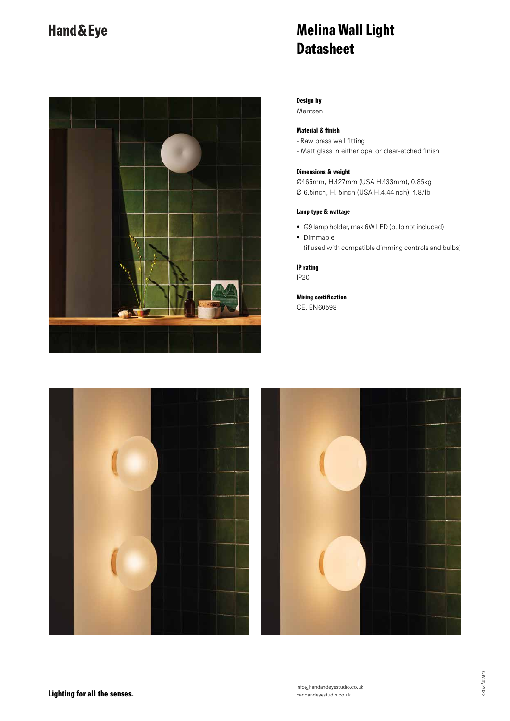### Hand & Eye



## **Melina Wall Light Datasheet**

**Design by**

Mentsen

### **Material & finish**

- Raw brass wall fitting

- Matt glass in either opal or clear-etched finish

#### **Dimensions & weight**

Ø165mm, H.127mm (USA H.133mm), 0.85kg Ø 6.5inch, H. 5inch (USA H.4.44inch), 1.87lb

### **Lamp type & wattage**

- G9 lamp holder, max 6W LED (bulb not included)
- Dimmable (if used with compatible dimming controls and bulbs)

**IP rating** IP20

**Wiring certification** CE, EN60598



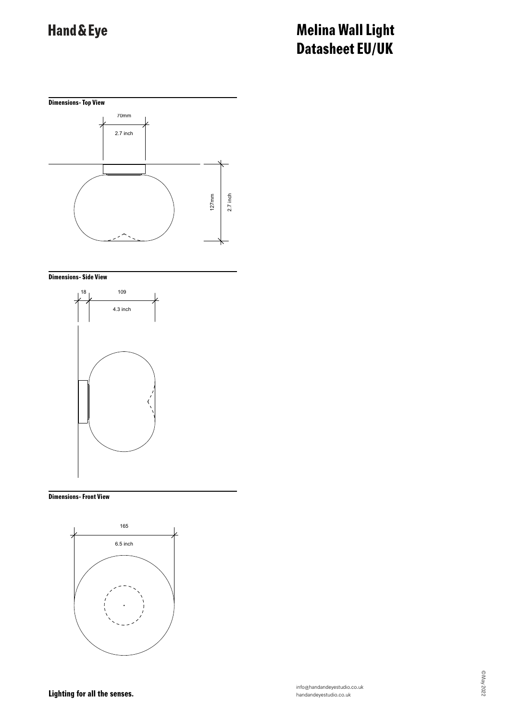# Hand & Eye

## **Melina Wall Light Datasheet EU/UK**



#### **Dimensions- Side View**



#### **Dimensions- Front View**



**Lighting for all the senses.**